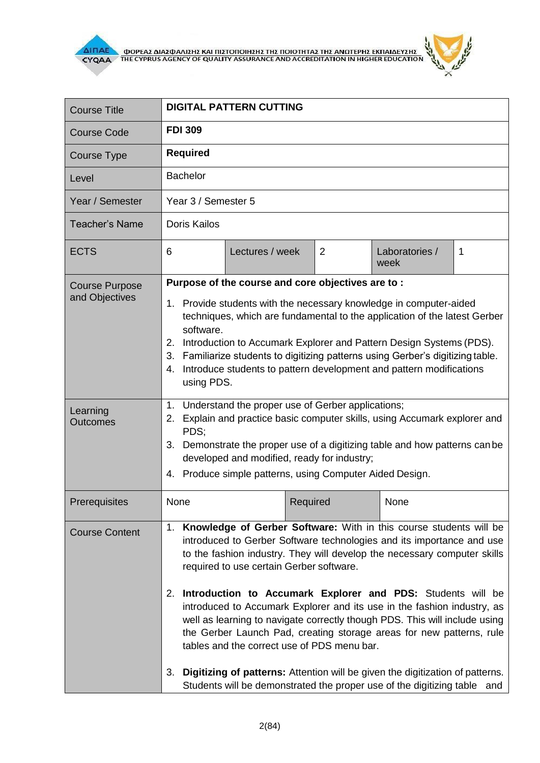

 $\mathbf{r}$ 

| <b>DIGITAL PATTERN CUTTING</b>                                                                                                                                                                                                                                                                                                                                                                                                                                                                                                                                                                                                                                                                                                                                                              |  |                 |                        |                                                   |
|---------------------------------------------------------------------------------------------------------------------------------------------------------------------------------------------------------------------------------------------------------------------------------------------------------------------------------------------------------------------------------------------------------------------------------------------------------------------------------------------------------------------------------------------------------------------------------------------------------------------------------------------------------------------------------------------------------------------------------------------------------------------------------------------|--|-----------------|------------------------|---------------------------------------------------|
| <b>FDI 309</b>                                                                                                                                                                                                                                                                                                                                                                                                                                                                                                                                                                                                                                                                                                                                                                              |  |                 |                        |                                                   |
| <b>Required</b>                                                                                                                                                                                                                                                                                                                                                                                                                                                                                                                                                                                                                                                                                                                                                                             |  |                 |                        |                                                   |
| <b>Bachelor</b>                                                                                                                                                                                                                                                                                                                                                                                                                                                                                                                                                                                                                                                                                                                                                                             |  |                 |                        |                                                   |
| Year 3 / Semester 5                                                                                                                                                                                                                                                                                                                                                                                                                                                                                                                                                                                                                                                                                                                                                                         |  |                 |                        |                                                   |
| <b>Doris Kailos</b>                                                                                                                                                                                                                                                                                                                                                                                                                                                                                                                                                                                                                                                                                                                                                                         |  |                 |                        |                                                   |
| 6                                                                                                                                                                                                                                                                                                                                                                                                                                                                                                                                                                                                                                                                                                                                                                                           |  | $\overline{2}$  | Laboratories /<br>week | 1                                                 |
| 1. Provide students with the necessary knowledge in computer-aided<br>techniques, which are fundamental to the application of the latest Gerber<br>software.<br>2. Introduction to Accumark Explorer and Pattern Design Systems (PDS).<br>3. Familiarize students to digitizing patterns using Gerber's digitizing table.<br>Introduce students to pattern development and pattern modifications<br>4.<br>using PDS.                                                                                                                                                                                                                                                                                                                                                                        |  |                 |                        |                                                   |
| Understand the proper use of Gerber applications;<br>1.<br>Explain and practice basic computer skills, using Accumark explorer and<br>2.<br>PDS;<br>Demonstrate the proper use of a digitizing table and how patterns can be<br>3.<br>developed and modified, ready for industry;<br>4. Produce simple patterns, using Computer Aided Design.                                                                                                                                                                                                                                                                                                                                                                                                                                               |  |                 |                        |                                                   |
| None                                                                                                                                                                                                                                                                                                                                                                                                                                                                                                                                                                                                                                                                                                                                                                                        |  |                 | None                   |                                                   |
| 1. Knowledge of Gerber Software: With in this course students will be<br>introduced to Gerber Software technologies and its importance and use<br>to the fashion industry. They will develop the necessary computer skills<br>required to use certain Gerber software.<br>Introduction to Accumark Explorer and PDS: Students will be<br>2.<br>introduced to Accumark Explorer and its use in the fashion industry, as<br>well as learning to navigate correctly though PDS. This will include using<br>the Gerber Launch Pad, creating storage areas for new patterns, rule<br>tables and the correct use of PDS menu bar.<br>3. Digitizing of patterns: Attention will be given the digitization of patterns.<br>Students will be demonstrated the proper use of the digitizing table and |  |                 |                        |                                                   |
|                                                                                                                                                                                                                                                                                                                                                                                                                                                                                                                                                                                                                                                                                                                                                                                             |  | Lectures / week | Required               | Purpose of the course and core objectives are to: |